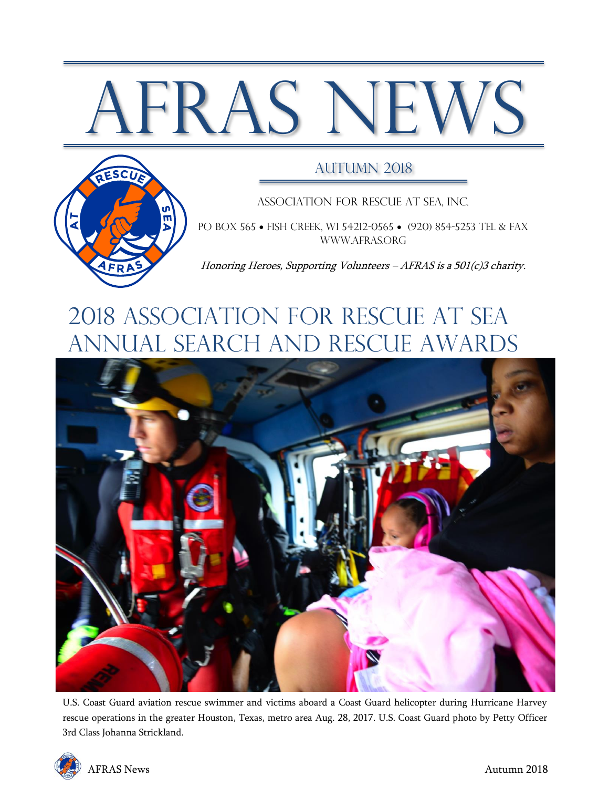# AFRAS NEWS



#### AUTUMN 2018

Association for Rescue at Sea, Inc.

PO BOX 565 • FISH CREEK, WI 54212-0565 • (920) 854-5253 TEL & FAX [www.afras.org](http://www.afras.org/)

Honoring Heroes, Supporting Volunteers – AFRAS is a 501(c)3 charity.

## 2018 ASSOCIATION FOR RESCUE AT SEA ANNUAL Search and rescue awards



U.S. Coast Guard aviation rescue swimmer and victims aboard a Coast Guard helicopter during Hurricane Harvey rescue operations in the greater Houston, Texas, metro area Aug. 28, 2017. U.S. Coast Guard photo by Petty Officer 3rd Class Johanna Strickland.

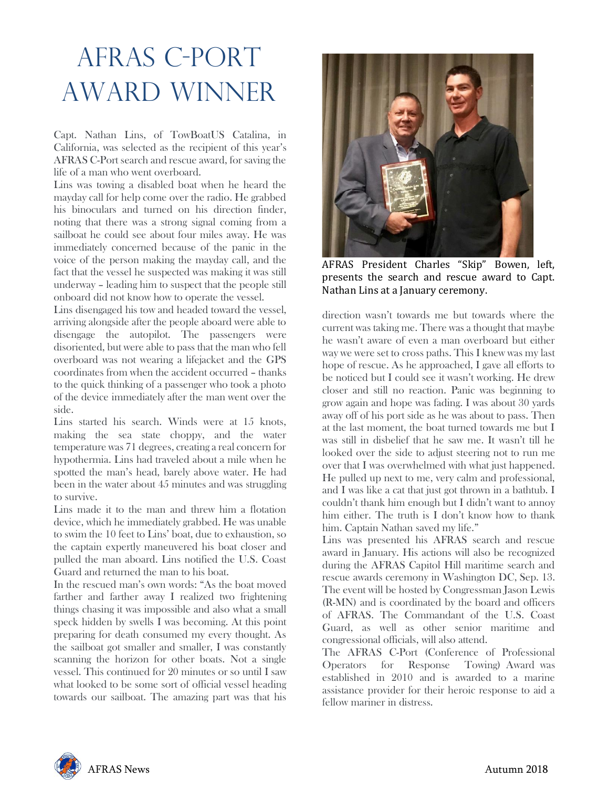# AFRAS C-PORT AWARD WINNER

Capt. Nathan Lins, of TowBoatUS Catalina, in California, was selected as the recipient of this year's AFRAS C-Port search and rescue award, for saving the life of a man who went overboard.

Lins was towing a disabled boat when he heard the mayday call for help come over the radio. He grabbed his binoculars and turned on his direction finder, noting that there was a strong signal coming from a sailboat he could see about four miles away. He was immediately concerned because of the panic in the voice of the person making the mayday call, and the fact that the vessel he suspected was making it was still underway – leading him to suspect that the people still onboard did not know how to operate the vessel.

Lins disengaged his tow and headed toward the vessel, arriving alongside after the people aboard were able to disengage the autopilot. The passengers were disoriented, but were able to pass that the man who fell overboard was not wearing a lifejacket and the GPS coordinates from when the accident occurred – thanks to the quick thinking of a passenger who took a photo of the device immediately after the man went over the side.

Lins started his search. Winds were at 15 knots, making the sea state choppy, and the water temperature was 71 degrees, creating a real concern for hypothermia. Lins had traveled about a mile when he spotted the man's head, barely above water. He had been in the water about 45 minutes and was struggling to survive.

Lins made it to the man and threw him a flotation device, which he immediately grabbed. He was unable to swim the 10 feet to Lins' boat, due to exhaustion, so the captain expertly maneuvered his boat closer and pulled the man aboard. Lins notified the U.S. Coast Guard and returned the man to his boat.

In the rescued man's own words: "As the boat moved farther and farther away I realized two frightening things chasing it was impossible and also what a small speck hidden by swells I was becoming. At this point preparing for death consumed my every thought. As the sailboat got smaller and smaller, I was constantly scanning the horizon for other boats. Not a single vessel. This continued for 20 minutes or so until I saw what looked to be some sort of official vessel heading towards our sailboat. The amazing part was that his



AFRAS President Charles "Skip" Bowen, left, presents the search and rescue award to Capt. Nathan Lins at a January ceremony.

direction wasn't towards me but towards where the current was taking me. There was a thought that maybe he wasn't aware of even a man overboard but either way we were set to cross paths. This I knew was my last hope of rescue. As he approached, I gave all efforts to be noticed but I could see it wasn't working. He drew closer and still no reaction. Panic was beginning to grow again and hope was fading. I was about 30 yards away off of his port side as he was about to pass. Then at the last moment, the boat turned towards me but I was still in disbelief that he saw me. It wasn't till he looked over the side to adjust steering not to run me over that I was overwhelmed with what just happened. He pulled up next to me, very calm and professional, and I was like a cat that just got thrown in a bathtub. I couldn't thank him enough but I didn't want to annoy him either. The truth is I don't know how to thank him. Captain Nathan saved my life."

Lins was presented his AFRAS search and rescue award in January. His actions will also be recognized during the AFRAS Capitol Hill maritime search and rescue awards ceremony in Washington DC, Sep. 13. The event will be hosted by Congressman Jason Lewis (R-MN) and is coordinated by the board and officers of AFRAS. The Commandant of the U.S. Coast Guard, as well as other senior maritime and congressional officials, will also attend.

The AFRAS C-Port (Conference of Professional Operators for Response Towing) Award was established in 2010 and is awarded to a marine assistance provider for their heroic response to aid a fellow mariner in distress.

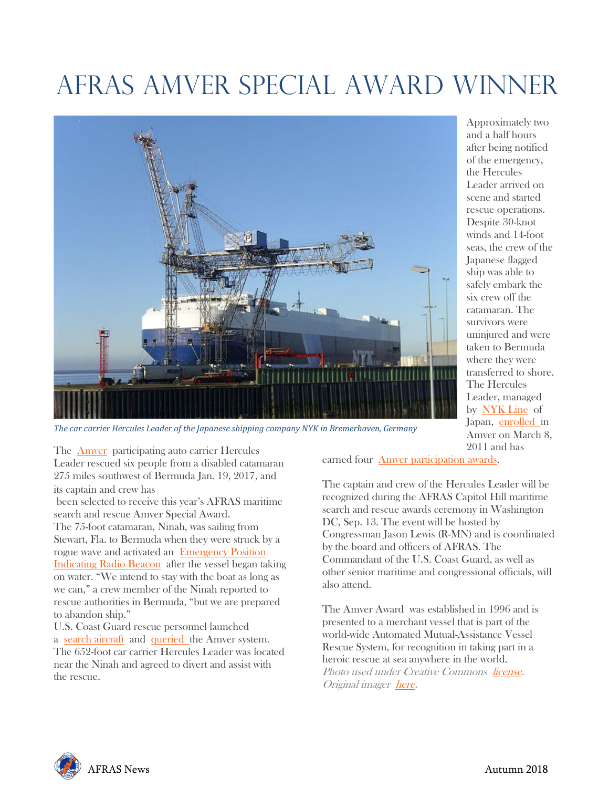# AFRAS AMVER SPECIAL AWARD WINNER



*The car carrier Hercules Leader of the Japanese shipping company NYK in Bremerhaven, Germany*

Approximately two and a half hours after being notified of the emergency, the Hercules Leader arrived on scene and started rescue operations. Despite 30-knot winds and 14-foot seas, the crew of the Japanese flagged ship was able to safely embark the six crew off the catamaran. The survivors were uninjured and were taken to Bermuda where they were transferred to shore. The Hercules Leader, managed by [NYK](https://www.nykline.com/ecom/CUP_HOM_3000.do?redir=Y) Line of Japan, [enrolled](http://amveruscg.blogspot.com/2009/01/how-do-you-enroll-ship-in-amver.html) in Amver on March 8, 2011 and has

The [Amver](http://www.amver.com/) participating auto carrier Hercules Leader rescued six people from a disabled catamaran 275 miles southwest of Bermuda Jan. 19, 2017, and

its captain and crew has

been selected to receive this year's AFRAS maritime search and rescue Amver Special Award. The 75-foot catamaran, Ninah, was sailing from Stewart, Fla. to Bermuda when they were struck by a rogue wave and activated an [Emergency](http://www.navcen.uscg.gov/?pageName=mtEpirb) Position [Indicating](http://www.navcen.uscg.gov/?pageName=mtEpirb) Radio Beacon after the vessel began taking on water. "We intend to stay with the boat as long as we can," a crew member of the Ninah reported to rescue authorities in Bermuda, "but we are prepared to abandon ship."

U.S. Coast Guard rescue personnel launched a search [aircraft](https://www.uscg.mil/d5/airstaelizabethcity/hc130h.asp) and [queried](http://www.amver.com/surpic.asp) the Amver system. The 652-foot car carrier Hercules Leader was located near the Ninah and agreed to divert and assist with the rescue.

earned four Amver [participation](http://www.amver.com/awardsprogram.asp) awards.

The captain and crew of the Hercules Leader will be recognized during the AFRAS Capitol Hill maritime search and rescue awards ceremony in Washington DC, Sep. 13. The event will be hosted by Congressman Jason Lewis (R-MN) and is coordinated by the board and officers of AFRAS. The Commandant of the U.S. Coast Guard, as well as other senior maritime and congressional officials, will also attend.

The Amver Award was established in 1996 and is presented to a merchant vessel that is part of the world-wide Automated Mutual-Assistance Vessel Rescue System, for recognition in taking part in a heroic rescue at sea anywhere in the world. Photo used under Creative Commons [license.](https://creativecommons.org/publicdomain/zero/1.0/deed.en) Original imager [here.](https://commons.wikimedia.org/wiki/File:Car_carrier_Hercules_Leader.jpg)

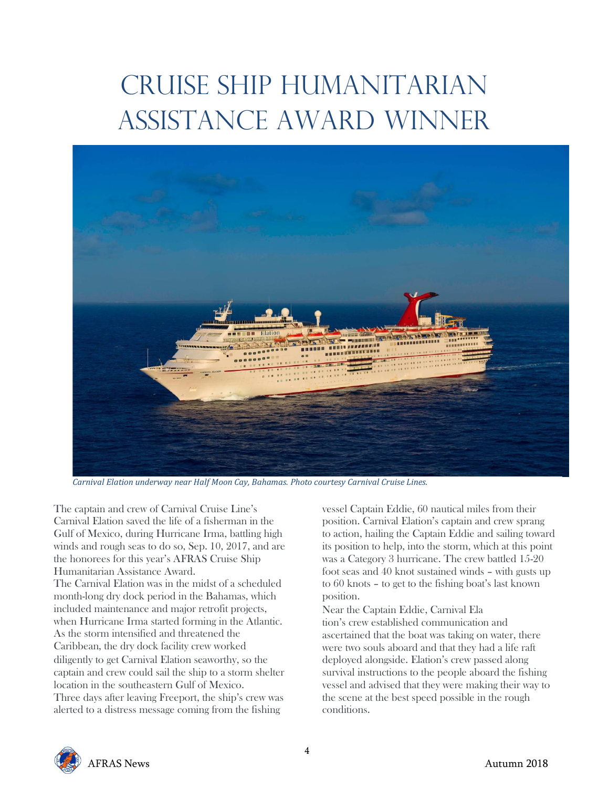# CRUISE SHIP HUMANITARIAN ASSISTANCE AWARD WINNER



*Carnival Elation underway near Half Moon Cay, Bahamas. Photo courtesy Carnival Cruise Lines.*

The captain and crew of Carnival Cruise Line's Carnival Elation saved the life of a fisherman in the Gulf of Mexico, during Hurricane Irma, battling high winds and rough seas to do so, Sep. 10, 2017, and are the honorees for this year's AFRAS Cruise Ship Humanitarian Assistance Award.

The Carnival Elation was in the midst of a scheduled month-long dry dock period in the Bahamas, which included maintenance and major retrofit projects, when Hurricane Irma started forming in the Atlantic. As the storm intensified and threatened the Caribbean, the dry dock facility crew worked diligently to get Carnival Elation seaworthy, so the captain and crew could sail the ship to a storm shelter location in the southeastern Gulf of Mexico. Three days after leaving Freeport, the ship's crew was alerted to a distress message coming from the fishing

vessel Captain Eddie, 60 nautical miles from their position. Carnival Elation's captain and crew sprang to action, hailing the Captain Eddie and sailing toward its position to help, into the storm, which at this point was a Category 3 hurricane. The crew battled 15-20 foot seas and 40 knot sustained winds – with gusts up to 60 knots – to get to the fishing boat's last known position.

Near the Captain Eddie, Carnival Ela tion's crew established communication and ascertained that the boat was taking on water, there were two souls aboard and that they had a life raft deployed alongside. Elation's crew passed along survival instructions to the people aboard the fishing vessel and advised that they were making their way to the scene at the best speed possible in the rough conditions.

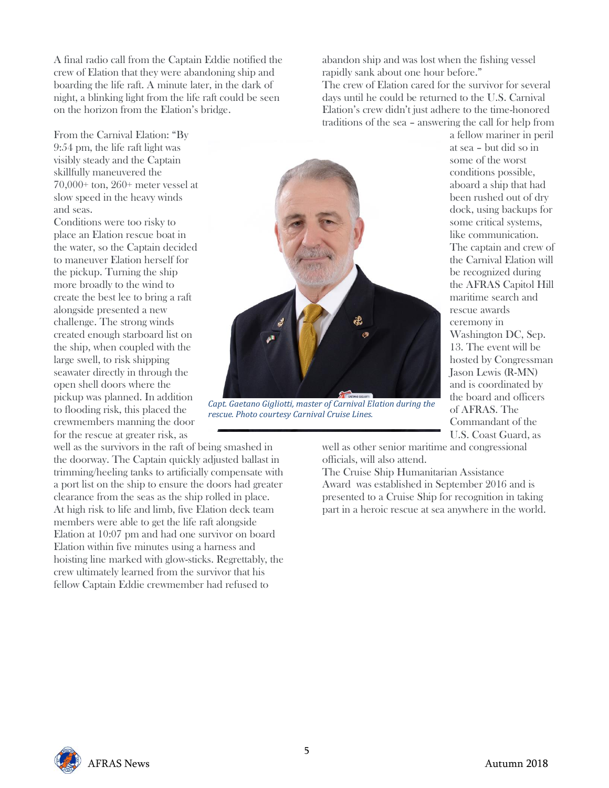A final radio call from the Captain Eddie notified the crew of Elation that they were abandoning ship and boarding the life raft. A minute later, in the dark of night, a blinking light from the life raft could be seen on the horizon from the Elation's bridge.

From the Carnival Elation: "By 9:54 pm, the life raft light was visibly steady and the Captain skillfully maneuvered the 70,000+ ton, 260+ meter vessel at slow speed in the heavy winds and seas.

Conditions were too risky to place an Elation rescue boat in the water, so the Captain decided to maneuver Elation herself for the pickup. Turning the ship more broadly to the wind to create the best lee to bring a raft alongside presented a new challenge. The strong winds created enough starboard list on the ship, when coupled with the large swell, to risk shipping seawater directly in through the open shell doors where the pickup was planned. In addition to flooding risk, this placed the crewmembers manning the door for the rescue at greater risk, as

well as the survivors in the raft of being smashed in the doorway. The Captain quickly adjusted ballast in trimming/heeling tanks to artificially compensate with a port list on the ship to ensure the doors had greater clearance from the seas as the ship rolled in place. At high risk to life and limb, five Elation deck team members were able to get the life raft alongside Elation at 10:07 pm and had one survivor on board Elation within five minutes using a harness and hoisting line marked with glow-sticks. Regrettably, the crew ultimately learned from the survivor that his fellow Captain Eddie crewmember had refused to

abandon ship and was lost when the fishing vessel rapidly sank about one hour before." The crew of Elation cared for the survivor for several days until he could be returned to the U.S. Carnival Elation's crew didn't just adhere to the time-honored traditions of the sea – answering the call for help from



*Capt. Gaetano Gigliotti, master of Carnival Elation during the rescue. Photo courtesy Carnival Cruise Lines.*

a fellow mariner in peril at sea – but did so in some of the worst conditions possible, aboard a ship that had been rushed out of dry dock, using backups for some critical systems, like communication. The captain and crew of the Carnival Elation will be recognized during the AFRAS Capitol Hill maritime search and rescue awards ceremony in Washington DC, Sep. 13. The event will be hosted by Congressman Jason Lewis (R-MN) and is coordinated by the board and officers of AFRAS. The Commandant of the U.S. Coast Guard, as

well as other senior maritime and congressional officials, will also attend.

The Cruise Ship Humanitarian Assistance Award was established in September 2016 and is presented to a Cruise Ship for recognition in taking part in a heroic rescue at sea anywhere in the world.

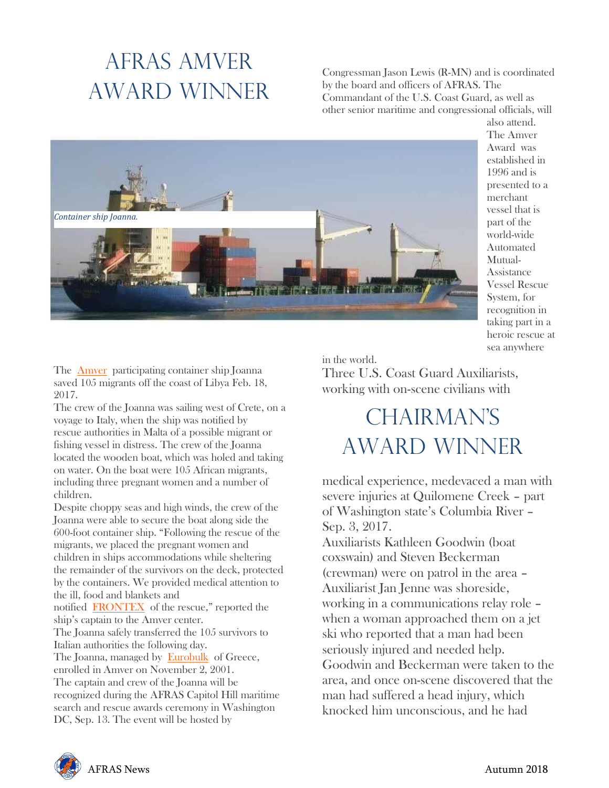### AFRAS AMVER AWARD WINNER

Congressman Jason Lewis (R-MN) and is coordinated by the board and officers of AFRAS. The Commandant of the U.S. Coast Guard, as well as other senior maritime and congressional officials, will



also attend. The Amver Award was established in 1996 and is presented to a merchant vessel that is part of the world-wide Automated Mutual-Assistance Vessel Rescue System, for recognition in taking part in a heroic rescue at sea anywhere

The [Amver](http://www.amver.com/) participating container ship Joanna saved 105 migrants off the coast of Libya Feb. 18, 2017.

The crew of the Joanna was sailing west of Crete, on a voyage to Italy, when the ship was notified by rescue authorities in Malta of a possible migrant or fishing vessel in distress. The crew of the Joanna located the wooden boat, which was holed and taking on water. On the boat were 105 African migrants, including three pregnant women and a number of children.

Despite choppy seas and high winds, the crew of the Joanna were able to secure the boat along side the 600-foot container ship. "Following the rescue of the migrants, we placed the pregnant women and children in ships accommodations while sheltering the remainder of the survivors on the deck, protected by the containers. We provided medical attention to the ill, food and blankets and notified [FRONTEX](http://frontex.europa.eu/) of the rescue," reported the ship's captain to the Amver center. The Joanna safely transferred the 105 survivors to Italian authorities the following day. The Joanna, managed by [Eurobulk](http://www.eurobulk.gr/) of Greece, enrolled in Amver on November 2, 2001. The captain and crew of the Joanna will be recognized during the AFRAS Capitol Hill maritime search and rescue awards ceremony in Washington DC, Sep. 13. The event will be hosted by

in the world.

Three U.S. Coast Guard Auxiliarists, working with on-scene civilians with

### CHAIRMAN'S AWARD WINNER

medical experience, medevaced a man with severe injuries at Quilomene Creek – part of Washington state's Columbia River – Sep. 3, 2017.

Auxiliarists Kathleen Goodwin (boat coxswain) and Steven Beckerman (crewman) were on patrol in the area – Auxiliarist Jan Jenne was shoreside, working in a communications relay role – when a woman approached them on a jet ski who reported that a man had been seriously injured and needed help. Goodwin and Beckerman were taken to the area, and once on-scene discovered that the man had suffered a head injury, which knocked him unconscious, and he had

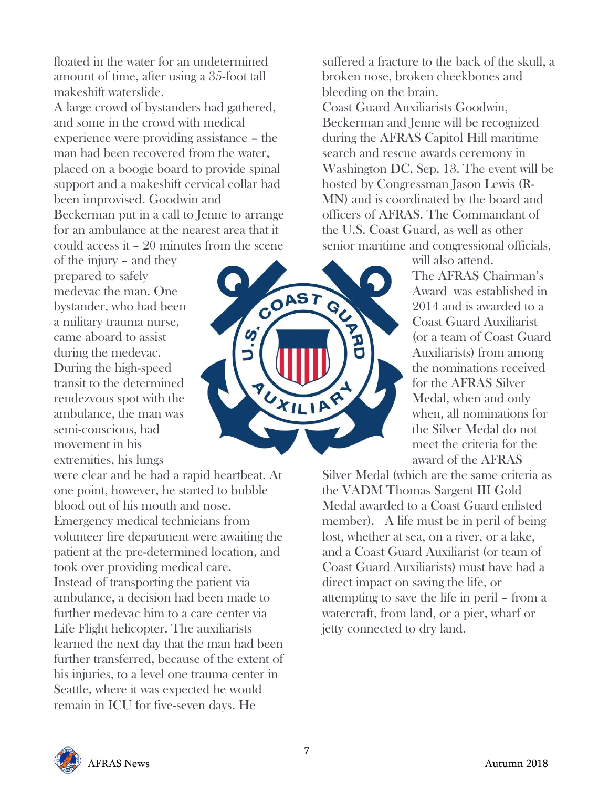floated in the water for an undetermined amount of time, after using a 35-foot tall makeshift waterslide.

A large crowd of bystanders had gathered, and some in the crowd with medical experience were providing assistance – the man had been recovered from the water, placed on a boogie board to provide spinal support and a makeshift cervical collar had been improvised. Goodwin and Beckerman put in a call to Jenne to arrange for an ambulance at the nearest area that it could access it – 20 minutes from the scene

of the injury – and they prepared to safely medevac the man. One bystander, who had been a military trauma nurse, came aboard to assist during the medevac. During the high-speed transit to the determined rendezvous spot with the ambulance, the man was semi-conscious, had movement in his extremities, his lungs

were clear and he had a rapid heartbeat. At one point, however, he started to bubble blood out of his mouth and nose. Emergency medical technicians from volunteer fire department were awaiting the patient at the pre-determined location, and took over providing medical care. Instead of transporting the patient via ambulance, a decision had been made to further medevac him to a care center via Life Flight helicopter. The auxiliarists learned the next day that the man had been further transferred, because of the extent of his injuries, to a level one trauma center in Seattle, where it was expected he would remain in ICU for five-seven days. He



suffered a fracture to the back of the skull, a broken nose, broken cheekbones and bleeding on the brain. Coast Guard Auxiliarists Goodwin, Beckerman and Jenne will be recognized during the AFRAS Capitol Hill maritime search and rescue awards ceremony in Washington DC, Sep. 13. The event will be hosted by Congressman Jason Lewis (R-MN) and is coordinated by the board and officers of AFRAS. The Commandant of the U.S. Coast Guard, as well as other senior maritime and congressional officials,

will also attend. The AFRAS Chairman's Award was established in 2014 and is awarded to a Coast Guard Auxiliarist (or a team of Coast Guard Auxiliarists) from among the nominations received for the AFRAS Silver Medal, when and only when, all nominations for the Silver Medal do not meet the criteria for the award of the AFRAS

Silver Medal (which are the same criteria as the VADM Thomas Sargent III Gold Medal awarded to a Coast Guard enlisted member). A life must be in peril of being lost, whether at sea, on a river, or a lake, and a Coast Guard Auxiliarist (or team of Coast Guard Auxiliarists) must have had a direct impact on saving the life, or attempting to save the life in peril – from a watercraft, from land, or a pier, wharf or jetty connected to dry land.

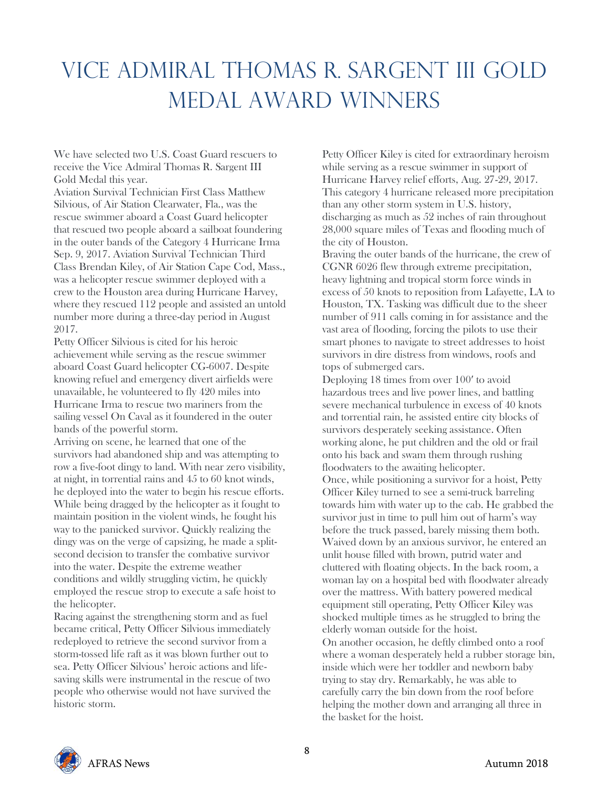## VICE ADMIRAL THOMAS R. SARGENT III GOLD MEDAL AWARD WINNERS

We have selected two U.S. Coast Guard rescuers to receive the Vice Admiral Thomas R. Sargent III Gold Medal this year.

Aviation Survival Technician First Class Matthew Silvious, of Air Station Clearwater, Fla., was the rescue swimmer aboard a Coast Guard helicopter that rescued two people aboard a sailboat foundering in the outer bands of the Category 4 Hurricane Irma Sep. 9, 2017. Aviation Survival Technician Third Class Brendan Kiley, of Air Station Cape Cod, Mass., was a helicopter rescue swimmer deployed with a crew to the Houston area during Hurricane Harvey, where they rescued 112 people and assisted an untold number more during a three-day period in August 2017.

Petty Officer Silvious is cited for his heroic achievement while serving as the rescue swimmer aboard Coast Guard helicopter CG-6007. Despite knowing refuel and emergency divert airfields were unavailable, he volunteered to fly 420 miles into Hurricane Irma to rescue two mariners from the sailing vessel On Caval as it foundered in the outer bands of the powerful storm.

Arriving on scene, he learned that one of the survivors had abandoned ship and was attempting to row a five-foot dingy to land. With near zero visibility, at night, in torrential rains and 45 to 60 knot winds, he deployed into the water to begin his rescue efforts. While being dragged by the helicopter as it fought to maintain position in the violent winds, he fought his way to the panicked survivor. Quickly realizing the dingy was on the verge of capsizing, he made a splitsecond decision to transfer the combative survivor into the water. Despite the extreme weather conditions and wildly struggling victim, he quickly employed the rescue strop to execute a safe hoist to the helicopter.

Racing against the strengthening storm and as fuel became critical, Petty Officer Silvious immediately redeployed to retrieve the second survivor from a storm-tossed life raft as it was blown further out to sea. Petty Officer Silvious' heroic actions and lifesaving skills were instrumental in the rescue of two people who otherwise would not have survived the historic storm.

Petty Officer Kiley is cited for extraordinary heroism while serving as a rescue swimmer in support of Hurricane Harvey relief efforts, Aug. 27-29, 2017. This category 4 hurricane released more precipitation than any other storm system in U.S. history, discharging as much as 52 inches of rain throughout 28,000 square miles of Texas and flooding much of the city of Houston.

Braving the outer bands of the hurricane, the crew of CGNR 6026 flew through extreme precipitation, heavy lightning and tropical storm force winds in excess of 50 knots to reposition from Lafayette, LA to Houston, TX. Tasking was difficult due to the sheer number of 911 calls coming in for assistance and the vast area of flooding, forcing the pilots to use their smart phones to navigate to street addresses to hoist survivors in dire distress from windows, roofs and tops of submerged cars.

Deploying 18 times from over 100′ to avoid hazardous trees and live power lines, and battling severe mechanical turbulence in excess of 40 knots and torrential rain, he assisted entire city blocks of survivors desperately seeking assistance. Often working alone, he put children and the old or frail onto his back and swam them through rushing floodwaters to the awaiting helicopter.

Once, while positioning a survivor for a hoist, Petty Officer Kiley turned to see a semi-truck barreling towards him with water up to the cab. He grabbed the survivor just in time to pull him out of harm's way before the truck passed, barely missing them both. Waived down by an anxious survivor, he entered an unlit house filled with brown, putrid water and cluttered with floating objects. In the back room, a woman lay on a hospital bed with floodwater already over the mattress. With battery powered medical equipment still operating, Petty Officer Kiley was shocked multiple times as he struggled to bring the elderly woman outside for the hoist. On another occasion, he deftly climbed onto a roof where a woman desperately held a rubber storage bin, inside which were her toddler and newborn baby trying to stay dry. Remarkably, he was able to carefully carry the bin down from the roof before helping the mother down and arranging all three in the basket for the hoist.

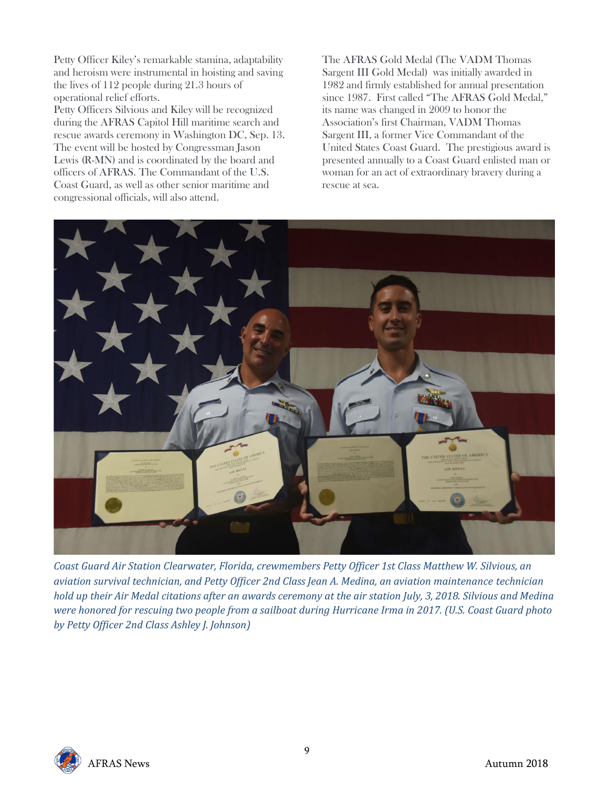Petty Officer Kiley's remarkable stamina, adaptability and heroism were instrumental in hoisting and saving the lives of 112 people during 21.3 hours of operational relief efforts.

Petty Officers Silvious and Kiley will be recognized during the AFRAS Capitol Hill maritime search and rescue awards ceremony in Washington DC, Sep. 13. The event will be hosted by Congressman Jason Lewis (R-MN) and is coordinated by the board and officers of AFRAS. The Commandant of the U.S. Coast Guard, as well as other senior maritime and congressional officials, will also attend.

The AFRAS Gold Medal (The VADM Thomas Sargent III Gold Medal) was initially awarded in 1982 and firmly established for annual presentation since 1987. First called "The AFRAS Gold Medal," its name was changed in 2009 to honor the Association's first Chairman, VADM Thomas Sargent III, a former Vice Commandant of the United States Coast Guard. The prestigious award is presented annually to a Coast Guard enlisted man or woman for an act of extraordinary bravery during a rescue at sea.



*Coast Guard Air Station Clearwater, Florida, crewmembers Petty Officer 1st Class Matthew W. Silvious, an aviation survival technician, and Petty Officer 2nd Class Jean A. Medina, an aviation maintenance technician hold up their Air Medal citations after an awards ceremony at the air station July, 3, 2018. Silvious and Medina were honored for rescuing two people from a sailboat during Hurricane Irma in 2017. (U.S. Coast Guard photo by Petty Officer 2nd Class Ashley J. Johnson)*

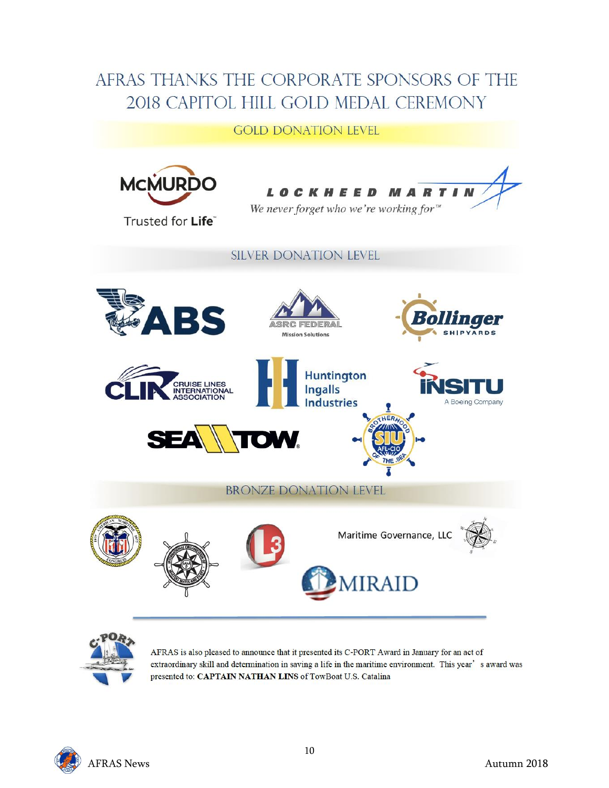#### AFRAS THANKS THE CORPORATE SPONSORS OF THE 2018 CAPITOL HILL GOLD MEDAL CEREMONY

#### **GOLD DONATION LEVEL**





AFRAS is also pleased to announce that it presented its C-PORT Award in January for an act of extraordinary skill and determination in saving a life in the maritime environment. This year's award was presented to: CAPTAIN NATHAN LINS of TowBoat U.S. Catalina